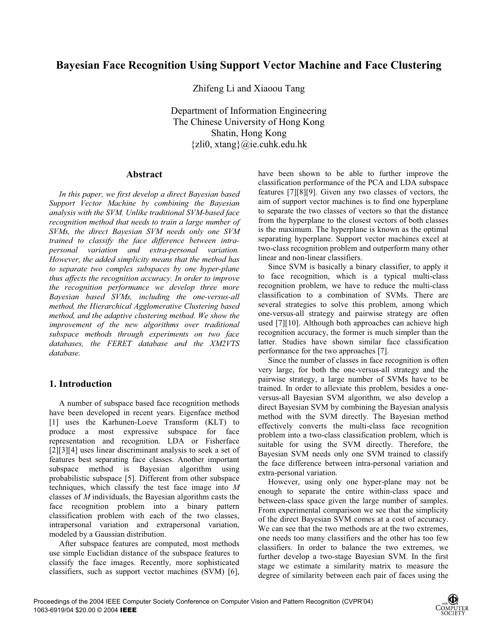# **Bayesian Face Recognition Using Support Vector Machine and Face Clustering**

Zhifeng Li and Xiaoou Tang

Department of Information Engineering The Chinese University of Hong Kong Shatin, Hong Kong  ${zli0, x$ tang $\omega$ ie.cuhk.edu.hk

## **Abstract**

*In this paper, we first develop a direct Bayesian based Support Vector Machine by combining the Bayesian analysis with the SVM. Unlike traditional SVM-based face recognition method that needs to train a large number of SVMs, the direct Bayesian SVM needs only one SVM trained to classify the face difference between intrapersonal variation and extra-personal variation. However, the added simplicity means that the method has to separate two complex subspaces by one hyper-plane thus affects the recognition accuracy. In order to improve the recognition performance we develop three more Bayesian based SVMs, including the one-versus-all method, the Hierarchical Agglomerative Clustering based method, and the adaptive clustering method. We show the improvement of the new algorithms over traditional subspace methods through experiments on two face databases, the FERET database and the XM2VTS database.* 

# **1. Introduction**

A number of subspace based face recognition methods have been developed in recent years. Eigenface method [1] uses the Karhunen-Loeve Transform (KLT) to produce a most expressive subspace for face representation and recognition. LDA or Fisherface [2][3][4] uses linear discriminant analysis to seek a set of features best separating face classes. Another important subspace method is Bayesian algorithm using probabilistic subspace [5]. Different from other subspace techniques, which classify the test face image into *M* classes of *M* individuals, the Bayesian algorithm casts the face recognition problem into a binary pattern classification problem with each of the two classes, intrapersonal variation and extrapersonal variation, modeled by a Gaussian distribution.

After subspace features are computed, most methods use simple Euclidian distance of the subspace features to classify the face images. Recently, more sophisticated classifiers, such as support vector machines (SVM) [6], have been shown to be able to further improve the classification performance of the PCA and LDA subspace features [7][8][9]. Given any two classes of vectors, the aim of support vector machines is to find one hyperplane to separate the two classes of vectors so that the distance from the hyperplane to the closest vectors of both classes is the maximum. The hyperplane is known as the optimal separating hyperplane. Support vector machines excel at two-class recognition problem and outperform many other linear and non-linear classifiers.

Since SVM is basically a binary classifier, to apply it to face recognition, which is a typical multi-class recognition problem, we have to reduce the multi-class classification to a combination of SVMs. There are several strategies to solve this problem, among which one-versus-all strategy and pairwise strategy are often used [7][10]. Although both approaches can achieve high recognition accuracy, the former is much simpler than the latter. Studies have shown similar face classification performance for the two approaches [7].

Since the number of classes in face recognition is often very large, for both the one-versus-all strategy and the pairwise strategy, a large number of SVMs have to be trained. In order to alleviate this problem, besides a oneversus-all Bayesian SVM algorithm, we also develop a direct Bayesian SVM by combining the Bayesian analysis method with the SVM directly. The Bayesian method effectively converts the multi-class face recognition problem into a two-class classification problem, which is suitable for using the SVM directly. Therefore, the Bayesian SVM needs only one SVM trained to classify the face difference between intra-personal variation and extra-personal variation.

However, using only one hyper-plane may not be enough to separate the entire within-class space and between-class space given the large number of samples. From experimental comparison we see that the simplicity of the direct Bayesian SVM comes at a cost of accuracy. We can see that the two methods are at the two extremes, one needs too many classifiers and the other has too few classifiers. In order to balance the two extremes, we further develop a two-stage Bayesian SVM. In the first stage we estimate a similarity matrix to measure the degree of similarity between each pair of faces using the

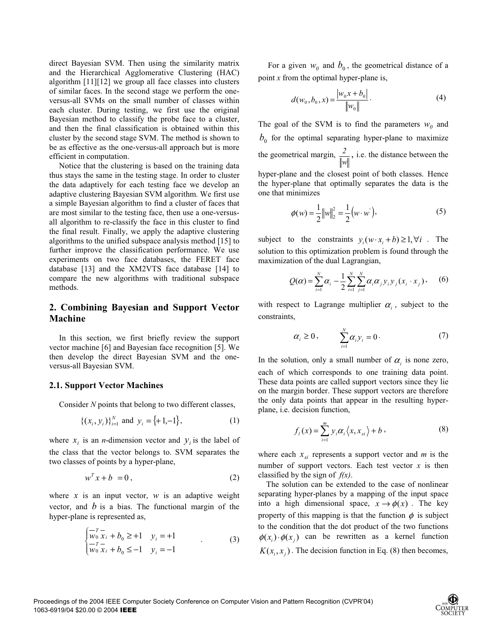direct Bayesian SVM. Then using the similarity matrix and the Hierarchical Agglomerative Clustering (HAC) algorithm [11][12] we group all face classes into clusters of similar faces. In the second stage we perform the oneversus-all SVMs on the small number of classes within each cluster. During testing, we first use the original Bayesian method to classify the probe face to a cluster, and then the final classification is obtained within this cluster by the second stage SVM. The method is shown to be as effective as the one-versus-all approach but is more efficient in computation.

Notice that the clustering is based on the training data thus stays the same in the testing stage. In order to cluster the data adaptively for each testing face we develop an adaptive clustering Bayesian SVM algorithm. We first use a simple Bayesian algorithm to find a cluster of faces that are most similar to the testing face, then use a one-versusall algorithm to re-classify the face in this cluster to find the final result. Finally, we apply the adaptive clustering algorithms to the unified subspace analysis method [15] to further improve the classification performance. We use experiments on two face databases, the FERET face database [13] and the XM2VTS face database [14] to compare the new algorithms with traditional subspace methods.

# **2. Combining Bayesian and Support Vector Machine**

In this section, we first briefly review the support vector machine [6] and Bayesian face recognition [5]. We then develop the direct Bayesian SVM and the oneversus-all Bayesian SVM.

#### **2.1. Support Vector Machines**

Consider *N* points that belong to two different classes,

$$
\{(x_i, y_i)\}_{i=1}^N \text{ and } y_i = \{+1, -1\},\tag{1}
$$

where  $x_i$  is an *n*-dimension vector and  $y_i$  is the label of the class that the vector belongs to. SVM separates the two classes of points by a hyper-plane,

$$
w^T x + b = 0, \qquad (2)
$$

where  $x$  is an input vector,  $w$  is an adaptive weight vector, and  $\dot{b}$  is a bias. The functional margin of the hyper-plane is represented as,

$$
\begin{cases}\n-r_{0}^{-} & \text{if } i + b_{0} \geq +1, \\
r_{0}^{-} & \text{if } i + b_{0} \leq -1, \\
w_{0} x_{i} + b_{0} \leq -1, \\
y_{i} = -1\n\end{cases}
$$
\n(3)

For a given  $w_0$  and  $b_0$ , the geometrical distance of a point *x* from the optimal hyper-plane is,

$$
d(w_0, b_0, x) = \frac{|w_0 x + b_0|}{\|w_0\|}.
$$
 (4)

The goal of the SVM is to find the parameters  $w_0$  and  $b<sub>0</sub>$  for the optimal separating hyper-plane to maximize the geometrical margin,  $\frac{2}{\|w\|}$ , i.e. the distance between the hyper-plane and the closest point of both classes. Hence the hyper-plane that optimally separates the data is the one that minimizes

$$
\phi(w) = \frac{1}{2} ||w||_2^2 = \frac{1}{2} (w \cdot w^*)
$$
\n(5)

subject to the constraints  $y_i(w \cdot x_i + b) \ge 1, \forall i$ . The solution to this optimization problem is found through the maximization of the dual Lagrangian,

$$
Q(\alpha) = \sum_{i=1}^{N} \alpha_i - \frac{1}{2} \sum_{i=1}^{N} \sum_{j=1}^{N} \alpha_i \alpha_j y_i y_j (x_i \cdot x_j), \quad (6)
$$

with respect to Lagrange multiplier  $\alpha$ , subject to the constraints,

$$
\alpha_i \ge 0, \qquad \sum_{i=1}^N \alpha_i y_i = 0 \qquad (7)
$$

In the solution, only a small number of  $\alpha_i$  is none zero, each of which corresponds to one training data point. These data points are called support vectors since they lie on the margin border. These support vectors are therefore the only data points that appear in the resulting hyperplane, i.e. decision function,

$$
f_i(x) = \sum_{i=1}^m y_i \alpha_i \langle x, x_{si} \rangle + b \,, \tag{8}
$$

where each  $x_{si}$  represents a support vector and *m* is the number of support vectors. Each test vector  $x$  is then classified by the sign of *f(x)*.

 The solution can be extended to the case of nonlinear separating hyper-planes by a mapping of the input space into a high dimensional space,  $x \rightarrow \phi(x)$ . The key property of this mapping is that the function  $\phi$  is subject to the condition that the dot product of the two functions  $\phi(x_i) \cdot \phi(x_i)$  can be rewritten as a kernel function  $K(x_i, x_i)$ . The decision function in Eq. (8) then becomes,

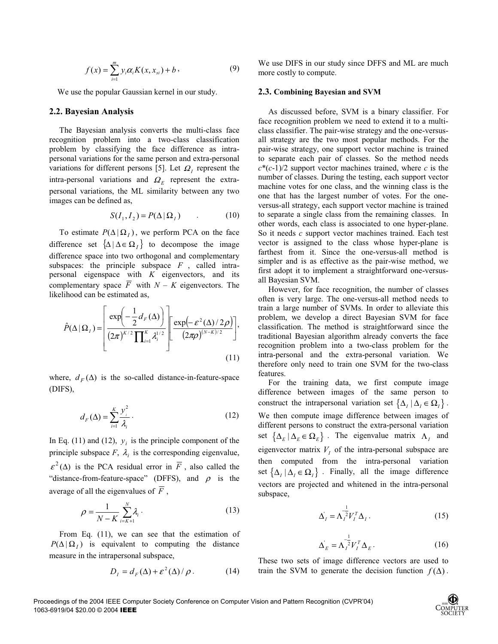$$
f(x) = \sum_{i=1}^{m} y_i \alpha_i K(x, x_{si}) + b,
$$
 (9)

We use the popular Gaussian kernel in our study.

#### **2.2. Bayesian Analysis**

 The Bayesian analysis converts the multi-class face recognition problem into a two-class classification problem by classifying the face difference as intrapersonal variations for the same person and extra-personal variations for different persons [5]. Let  $\Omega$ <sub>*I*</sub> represent the intra-personal variations and  $\Omega_E$  represent the extrapersonal variations, the ML similarity between any two images can be defined as,

$$
S(I_1, I_2) = P(\Delta | \Omega_I) \tag{10}
$$

To estimate  $P(\Delta | \Omega_I)$ , we perform PCA on the face difference set  $\{\Delta \mid \Delta \in \Omega_I\}$  to decompose the image difference space into two orthogonal and complementary subspaces: the principle subspace *F* , called intrapersonal eigenspace with *K* eigenvectors, and its complementary space  $\overline{F}$  with  $N - K$  eigenvectors. The likelihood can be estimated as,

$$
\hat{P}(\Delta \mid \Omega_I) = \left[ \frac{\exp\left(-\frac{1}{2}d_F(\Delta)\right)}{(2\pi)^{K/2}\prod_{i=1}^K \lambda_i^{1/2}} \right] \left[ \frac{\exp\left(-\varepsilon^2(\Delta)/2\rho\right)}{(2\pi\rho)^{(N-K)/2}} \right],
$$
\n(11)

where,  $d_F(\Delta)$  is the so-called distance-in-feature-space (DIFS),

$$
d_F(\Delta) = \sum_{i=1}^{K} \frac{y_i^2}{\lambda_i} \,. \tag{12}
$$

In Eq. (11) and (12),  $y_i$  is the principle component of the principle subspace  $F$ ,  $\lambda_i$  is the corresponding eigenvalue,  $\varepsilon^2(\Delta)$  is the PCA residual error in  $\overline{F}$ , also called the "distance-from-feature-space" (DFFS), and  $\rho$  is the average of all the eigenvalues of  $\overline{F}$ ,

$$
\rho = \frac{1}{N - K} \sum_{i=K+1}^{N} \lambda_i \,. \tag{13}
$$

 From Eq. (11), we can see that the estimation of  $P(\Delta | \Omega_I)$  is equivalent to computing the distance measure in the intrapersonal subspace,

$$
D_I = d_F(\Delta) + \varepsilon^2(\Delta) / \rho. \qquad (14)
$$

We use DIFS in our study since DFFS and ML are much more costly to compute.

#### **2.3. Combining Bayesian and SVM**

 As discussed before, SVM is a binary classifier. For face recognition problem we need to extend it to a multiclass classifier. The pair-wise strategy and the one-versusall strategy are the two most popular methods. For the pair-wise strategy, one support vector machine is trained to separate each pair of classes. So the method needs  $c^*(c-1)/2$  support vector machines trained, where *c* is the number of classes. During the testing, each support vector machine votes for one class, and the winning class is the one that has the largest number of votes. For the oneversus-all strategy, each support vector machine is trained to separate a single class from the remaining classes. In other words, each class is associated to one hyper-plane. So it needs *c* support vector machines trained. Each test vector is assigned to the class whose hyper-plane is farthest from it. Since the one-versus-all method is simpler and is as effective as the pair-wise method, we first adopt it to implement a straightforward one-versusall Bayesian SVM.

 However, for face recognition, the number of classes often is very large. The one-versus-all method needs to train a large number of SVMs. In order to alleviate this problem, we develop a direct Bayesian SVM for face classification. The method is straightforward since the traditional Bayesian algorithm already converts the face recognition problem into a two-class problem for the intra-personal and the extra-personal variation. We therefore only need to train one SVM for the two-class features.

 For the training data, we first compute image difference between images of the same person to construct the intrapersonal variation set  $\{\Delta_{i} | \Delta_{i} \in \Omega_{i}\}\.$ We then compute image difference between images of different persons to construct the extra-personal variation set  $\{\Delta_E | \Delta_E \in \Omega_E\}$ . The eigenvalue matrix  $\Lambda_I$  and eigenvector matrix  $V<sub>I</sub>$  of the intra-personal subspace are then computed from the intra-personal variation set  $\{\Delta_{i} | \Delta_{i} \in \Omega_{i}\}$ . Finally, all the image difference vectors are projected and whitened in the intra-personal subspace,

$$
\Delta_I = \Lambda_I^{-1} V_I^T \Delta_I. \tag{15}
$$

$$
\Delta_E = \Lambda_I^{-\frac{1}{2}} V_I^T \Delta_E.
$$
 (16)

These two sets of image difference vectors are used to train the SVM to generate the decision function  $f(\Delta)$ .

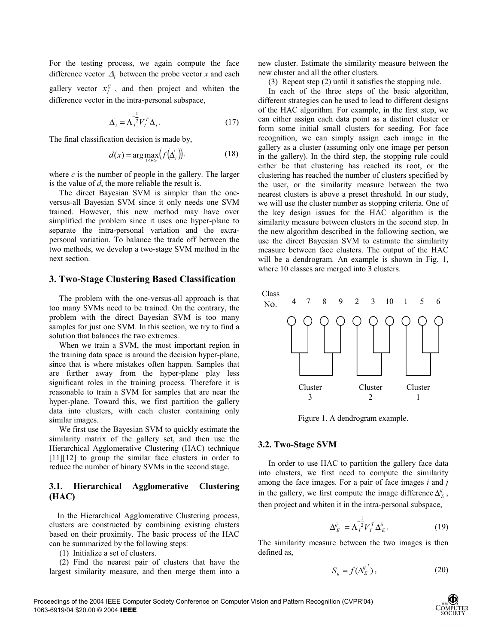For the testing process, we again compute the face difference vector ∆*i* between the probe vector *x* and each gallery vector  $x_i^g$ , and then project and whiten the difference vector in the intra-personal subspace,

$$
\Delta_i = \Lambda_i^{\frac{1}{2}} V_I^T \Delta_i. \tag{17}
$$

The final classification decision is made by,

$$
d(x) = \arg \max_{1 \le i \le c} \left( f(\Delta_i) \right). \tag{18}
$$

where *c* is the number of people in the gallery. The larger is the value of *d*, the more reliable the result is.

 The direct Bayesian SVM is simpler than the oneversus-all Bayesian SVM since it only needs one SVM trained. However, this new method may have over simplified the problem since it uses one hyper-plane to separate the intra-personal variation and the extrapersonal variation. To balance the trade off between the two methods, we develop a two-stage SVM method in the next section.

#### **3. Two-Stage Clustering Based Classification**

The problem with the one-versus-all approach is that too many SVMs need to be trained. On the contrary, the problem with the direct Bayesian SVM is too many samples for just one SVM. In this section, we try to find a solution that balances the two extremes.

When we train a SVM, the most important region in the training data space is around the decision hyper-plane, since that is where mistakes often happen. Samples that are further away from the hyper-plane play less significant roles in the training process. Therefore it is reasonable to train a SVM for samples that are near the hyper-plane. Toward this, we first partition the gallery data into clusters, with each cluster containing only similar images.

We first use the Bayesian SVM to quickly estimate the similarity matrix of the gallery set, and then use the Hierarchical Agglomerative Clustering (HAC) technique [11][12] to group the similar face clusters in order to reduce the number of binary SVMs in the second stage.

#### **3.1. Hierarchical Agglomerative Clustering (HAC)**

 In the Hierarchical Agglomerative Clustering process, clusters are constructed by combining existing clusters based on their proximity. The basic process of the HAC can be summarized by the following steps:

(1) Initialize a set of clusters.

 (2) Find the nearest pair of clusters that have the largest similarity measure, and then merge them into a

new cluster. Estimate the similarity measure between the new cluster and all the other clusters.

(3) Repeat step (2) until it satisfies the stopping rule.

 In each of the three steps of the basic algorithm, different strategies can be used to lead to different designs of the HAC algorithm. For example, in the first step, we can either assign each data point as a distinct cluster or form some initial small clusters for seeding. For face recognition, we can simply assign each image in the gallery as a cluster (assuming only one image per person in the gallery). In the third step, the stopping rule could either be that clustering has reached its root, or the clustering has reached the number of clusters specified by the user, or the similarity measure between the two nearest clusters is above a preset threshold. In our study, we will use the cluster number as stopping criteria. One of the key design issues for the HAC algorithm is the similarity measure between clusters in the second step. In the new algorithm described in the following section, we use the direct Bayesian SVM to estimate the similarity measure between face clusters. The output of the HAC will be a dendrogram. An example is shown in Fig. 1, where 10 classes are merged into 3 clusters.



Figure 1. A dendrogram example.

#### **3.2. Two-Stage SVM**

 In order to use HAC to partition the gallery face data into clusters, we first need to compute the similarity among the face images. For a pair of face images *i* and *j* in the gallery, we first compute the image difference  $\Delta_E^{\mathcal{Y}}$ , then project and whiten it in the intra-personal subspace,

$$
\Delta_E^{ij} = \Lambda_I^{-1} V_I^T \Delta_E^{ij}.
$$
 (19)

The similarity measure between the two images is then defined as,

$$
S_{ij} = f(\Delta_E^{ij}), \qquad (20)
$$

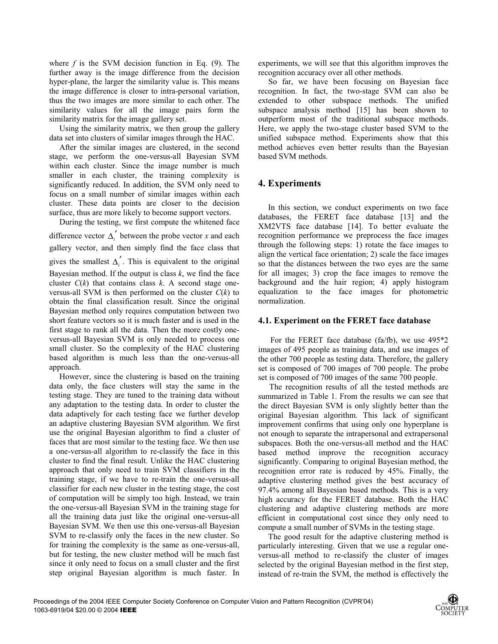where  $f$  is the SVM decision function in Eq.  $(9)$ . The further away is the image difference from the decision hyper-plane, the larger the similarity value is. This means the image difference is closer to intra-personal variation, thus the two images are more similar to each other. The similarity values for all the image pairs form the similarity matrix for the image gallery set.

 Using the similarity matrix, we then group the gallery data set into clusters of similar images through the HAC.

 After the similar images are clustered, in the second stage, we perform the one-versus-all Bayesian SVM within each cluster. Since the image number is much smaller in each cluster, the training complexity is significantly reduced. In addition, the SVM only need to focus on a small number of similar images within each cluster. These data points are closer to the decision surface, thus are more likely to become support vectors.

 During the testing, we first compute the whitened face difference vector  $\Delta_i'$  between the probe vector *x* and each gallery vector, and then simply find the face class that gives the smallest  $\Delta_i'$ . This is equivalent to the original Bayesian method. If the output is class  $k$ , we find the face cluster  $C(k)$  that contains class  $k$ . A second stage oneversus-all SVM is then performed on the cluster  $C(k)$  to obtain the final classification result. Since the original Bayesian method only requires computation between two short feature vectors so it is much faster and is used in the first stage to rank all the data. Then the more costly oneversus-all Bayesian SVM is only needed to process one small cluster. So the complexity of the HAC clustering based algorithm is much less than the one-versus-all approach.

 However, since the clustering is based on the training data only, the face clusters will stay the same in the testing stage. They are tuned to the training data without any adaptation to the testing data. In order to cluster the data adaptively for each testing face we further develop an adaptive clustering Bayesian SVM algorithm. We first use the original Bayesian algorithm to find a cluster of faces that are most similar to the testing face. We then use a one-versus-all algorithm to re-classify the face in this cluster to find the final result. Unlike the HAC clustering approach that only need to train SVM classifiers in the training stage, if we have to re-train the one-versus-all classifier for each new cluster in the testing stage, the cost of computation will be simply too high. Instead, we train the one-versus-all Bayesian SVM in the training stage for all the training data just like the original one-versus-all Bayesian SVM. We then use this one-versus-all Bayesian SVM to re-classify only the faces in the new cluster. So for training the complexity is the same as one-versus-all, but for testing, the new cluster method will be much fast since it only need to focus on a small cluster and the first step original Bayesian algorithm is much faster. In

experiments, we will see that this algorithm improves the recognition accuracy over all other methods.

 So far, we have been focusing on Bayesian face recognition. In fact, the two-stage SVM can also be extended to other subspace methods. The unified subspace analysis method [15] has been shown to outperform most of the traditional subspace methods. Here, we apply the two-stage cluster based SVM to the unified subspace method. Experiments show that this method achieves even better results than the Bayesian based SVM methods.

# **4. Experiments**

In this section, we conduct experiments on two face databases, the FERET face database [13] and the XM2VTS face database [14]. To better evaluate the recognition performance we preprocess the face images through the following steps: 1) rotate the face images to align the vertical face orientation; 2) scale the face images so that the distances between the two eyes are the same for all images; 3) crop the face images to remove the background and the hair region; 4) apply histogram equalization to the face images for photometric normalization.

## **4.1. Experiment on the FERET face database**

For the FERET face database (fa/fb), we use 495\*2 images of 495 people as training data, and use images of the other 700 people as testing data. Therefore, the gallery set is composed of 700 images of 700 people. The probe set is composed of 700 images of the same 700 people.

The recognition results of all the tested methods are summarized in Table 1. From the results we can see that the direct Bayesian SVM is only slightly better than the original Bayesian algorithm. This lack of significant improvement confirms that using only one hyperplane is not enough to separate the intrapersonal and extrapersonal subspaces. Both the one-versus-all method and the HAC based method improve the recognition accuracy significantly. Comparing to original Bayesian method, the recognition error rate is reduced by 45%. Finally, the adaptive clustering method gives the best accuracy of 97.4% among all Bayesian based methods. This is a very high accuracy for the FERET database. Both the HAC clustering and adaptive clustering methods are more efficient in computational cost since they only need to compute a small number of SVMs in the testing stage.

 The good result for the adaptive clustering method is particularly interesting. Given that we use a regular oneversus-all method to re-classify the cluster of images selected by the original Bayesian method in the first step, instead of re-train the SVM, the method is effectively the

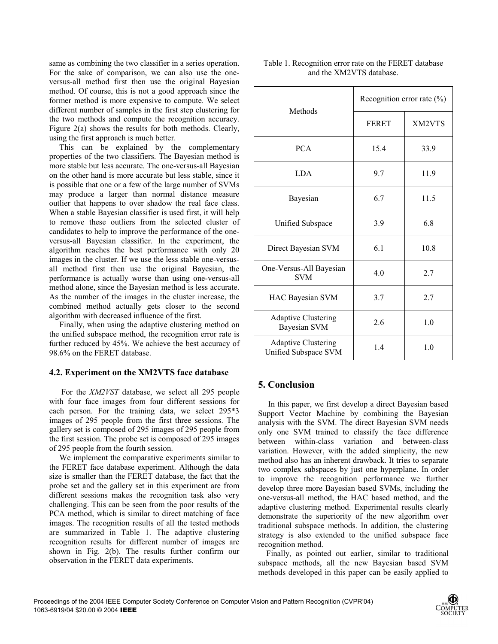same as combining the two classifier in a series operation. For the sake of comparison, we can also use the oneversus-all method first then use the original Bayesian method. Of course, this is not a good approach since the former method is more expensive to compute. We select different number of samples in the first step clustering for the two methods and compute the recognition accuracy. Figure 2(a) shows the results for both methods. Clearly, using the first approach is much better.

 This can be explained by the complementary properties of the two classifiers. The Bayesian method is more stable but less accurate. The one-versus-all Bayesian on the other hand is more accurate but less stable, since it is possible that one or a few of the large number of SVMs may produce a larger than normal distance measure outlier that happens to over shadow the real face class. When a stable Bayesian classifier is used first, it will help to remove these outliers from the selected cluster of candidates to help to improve the performance of the oneversus-all Bayesian classifier. In the experiment, the algorithm reaches the best performance with only 20 images in the cluster. If we use the less stable one-versusall method first then use the original Bayesian, the performance is actually worse than using one-versus-all method alone, since the Bayesian method is less accurate. As the number of the images in the cluster increase, the combined method actually gets closer to the second algorithm with decreased influence of the first.

 Finally, when using the adaptive clustering method on the unified subspace method, the recognition error rate is further reduced by 45%. We achieve the best accuracy of 98.6% on the FERET database.

### **4.2. Experiment on the XM2VTS face database**

For the *XM2VST* database, we select all 295 people with four face images from four different sessions for each person. For the training data, we select 295\*3 images of 295 people from the first three sessions. The gallery set is composed of 295 images of 295 people from the first session. The probe set is composed of 295 images of 295 people from the fourth session.

 We implement the comparative experiments similar to the FERET face database experiment. Although the data size is smaller than the FERET database, the fact that the probe set and the gallery set in this experiment are from different sessions makes the recognition task also very challenging. This can be seen from the poor results of the PCA method, which is similar to direct matching of face images. The recognition results of all the tested methods are summarized in Table 1. The adaptive clustering recognition results for different number of images are shown in Fig. 2(b). The results further confirm our observation in the FERET data experiments.

| Methods                                            | Recognition error rate $(\%)$ |        |
|----------------------------------------------------|-------------------------------|--------|
|                                                    | <b>FERET</b>                  | XM2VTS |
| <b>PCA</b>                                         | 15.4                          | 33.9   |
| <b>LDA</b>                                         | 9.7                           | 11.9   |
| Bayesian                                           | 6.7                           | 11.5   |
| Unified Subspace                                   | 3.9                           | 6.8    |
| Direct Bayesian SVM                                | 6.1                           | 10.8   |
| One-Versus-All Bayesian<br><b>SVM</b>              | 4.0                           | 2.7    |
| HAC Bayesian SVM                                   | 3.7                           | 2.7    |
| <b>Adaptive Clustering</b><br>Bayesian SVM         | 2.6                           | 1.0    |
| <b>Adaptive Clustering</b><br>Unified Subspace SVM | 1.4                           | 1.0    |

#### Table 1. Recognition error rate on the FERET database and the XM2VTS database.

# **5. Conclusion**

In this paper, we first develop a direct Bayesian based Support Vector Machine by combining the Bayesian analysis with the SVM. The direct Bayesian SVM needs only one SVM trained to classify the face difference between within-class variation and between-class variation. However, with the added simplicity, the new method also has an inherent drawback. It tries to separate two complex subspaces by just one hyperplane. In order to improve the recognition performance we further develop three more Bayesian based SVMs, including the one-versus-all method, the HAC based method, and the adaptive clustering method. Experimental results clearly demonstrate the superiority of the new algorithm over traditional subspace methods. In addition, the clustering strategy is also extended to the unified subspace face recognition method.

 Finally, as pointed out earlier, similar to traditional subspace methods, all the new Bayesian based SVM methods developed in this paper can be easily applied to